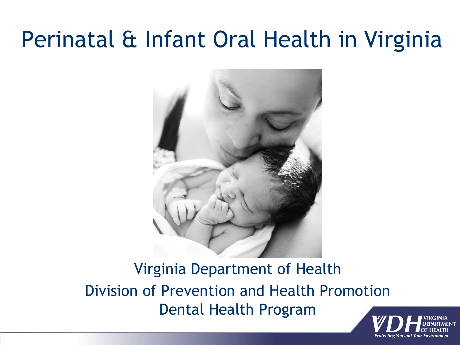#### Perinatal & Infant Oral Health in Virginia



Virginia Department of Health Division of Prevention and Health Promotion Dental Health Program

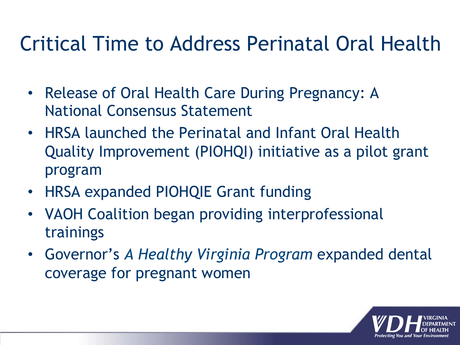#### Critical Time to Address Perinatal Oral Health

- Release of Oral Health Care During Pregnancy: A National Consensus Statement
- HRSA launched the Perinatal and Infant Oral Health Quality Improvement (PIOHQI) initiative as a pilot grant program
- HRSA expanded PIOHQIE Grant funding
- VAOH Coalition began providing interprofessional trainings
- Governor's *A Healthy Virginia Program* expanded dental coverage for pregnant women

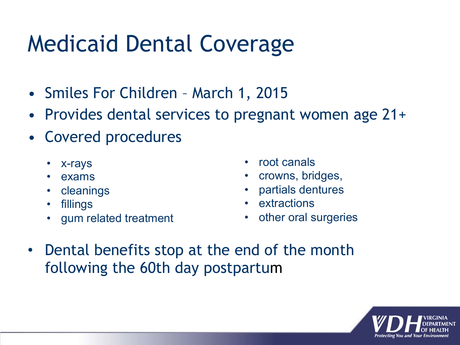## Medicaid Dental Coverage

- Smiles For Children March 1, 2015
- Provides dental services to pregnant women age 21+
- Covered procedures
	- x-rays
	- exams
	- **cleanings**
	- fillings
	- gum related treatment
- root canals
- crowns, bridges,
- partials dentures
- **extractions**
- other oral surgeries
- Dental benefits stop at the end of the month following the 60th day postpartum

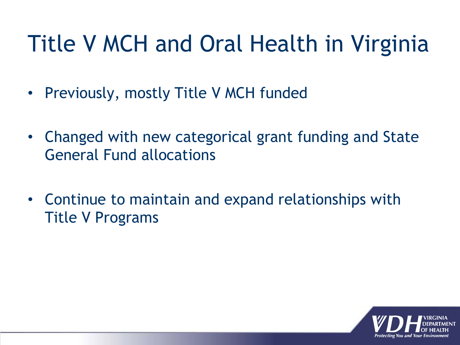## Title V MCH and Oral Health in Virginia

- Previously, mostly Title V MCH funded
- Changed with new categorical grant funding and State General Fund allocations
- Continue to maintain and expand relationships with Title V Programs

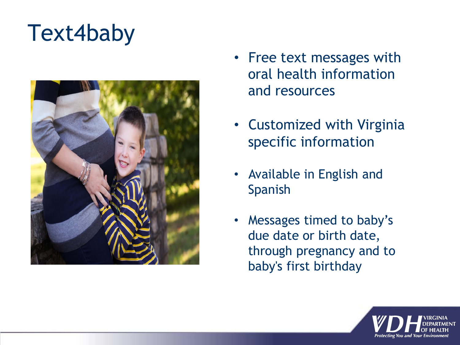## Text4baby



- Free text messages with oral health information and resources
- Customized with Virginia specific information
- Available in English and Spanish
- Messages timed to baby's due date or birth date, through pregnancy and to baby's first birthday

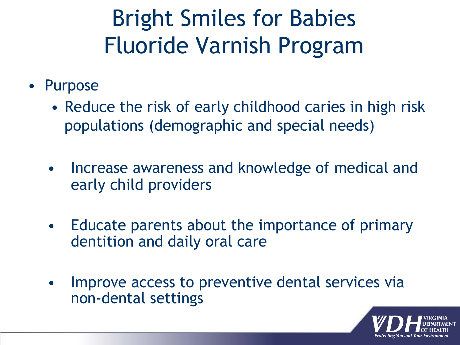## Bright Smiles for Babies Fluoride Varnish Program

- Purpose
	- Reduce the risk of early childhood caries in high risk populations (demographic and special needs)
	- Increase awareness and knowledge of medical and early child providers
	- Educate parents about the importance of primary dentition and daily oral care
	- Improve access to preventive dental services via non-dental settings

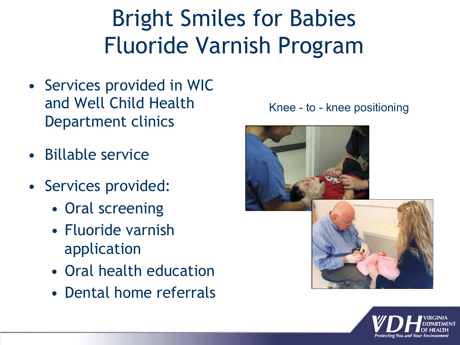# Bright Smiles for Babies Fluoride Varnish Program

- Services provided in WIC and Well Child Health Department clinics
- Billable service
- Services provided:
	- Oral screening
	- Fluoride varnish application
	- Oral health education
	- Dental home referrals





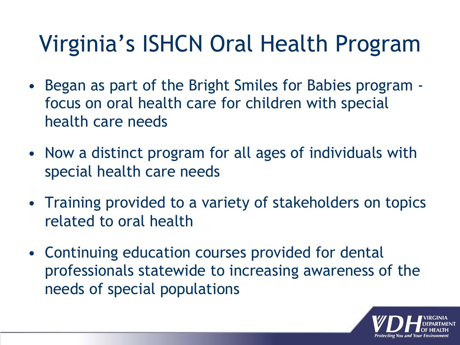## Virginia's ISHCN Oral Health Program

- Began as part of the Bright Smiles for Babies program focus on oral health care for children with special health care needs
- Now a distinct program for all ages of individuals with special health care needs
- Training provided to a variety of stakeholders on topics related to oral health
- Continuing education courses provided for dental professionals statewide to increasing awareness of the needs of special populations

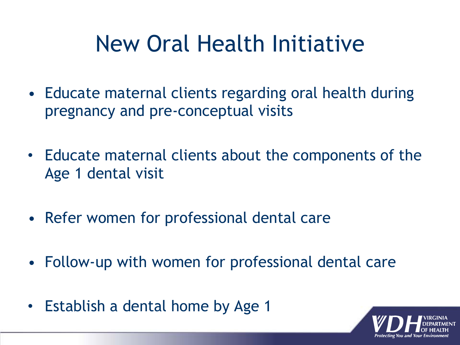## New Oral Health Initiative

- Educate maternal clients regarding oral health during pregnancy and pre-conceptual visits
- Educate maternal clients about the components of the Age 1 dental visit
- Refer women for professional dental care
- Follow-up with women for professional dental care
- Establish a dental home by Age 1

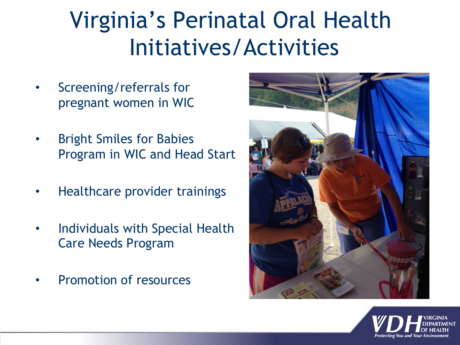## Virginia's Perinatal Oral Health Initiatives/Activities

- Screening/referrals for pregnant women in WIC
- Bright Smiles for Babies Program in WIC and Head Start
- Healthcare provider trainings
- Individuals with Special Health Care Needs Program
- Promotion of resources



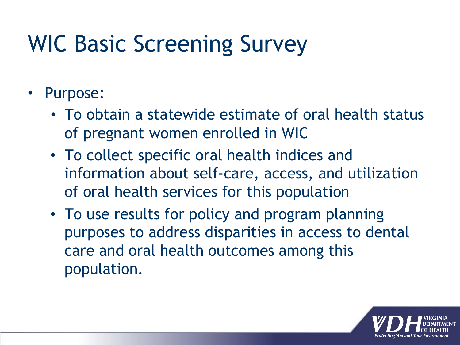# WIC Basic Screening Survey

- Purpose:
	- To obtain a statewide estimate of oral health status of pregnant women enrolled in WIC
	- To collect specific oral health indices and information about self-care, access, and utilization of oral health services for this population
	- To use results for policy and program planning purposes to address disparities in access to dental care and oral health outcomes among this population.

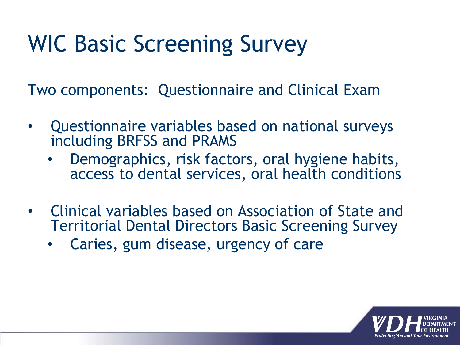# WIC Basic Screening Survey

Two components: Questionnaire and Clinical Exam

- Questionnaire variables based on national surveys including BRFSS and PRAMS
	- Demographics, risk factors, oral hygiene habits, access to dental services, oral health conditions
- Clinical variables based on Association of State and Territorial Dental Directors Basic Screening Survey
	- Caries, gum disease, urgency of care

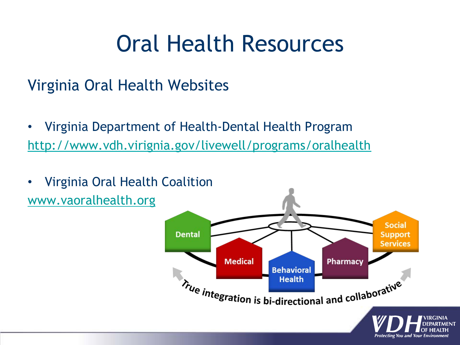#### Oral Health Resources

#### Virginia Oral Health Websites

- Virginia Department of Health-Dental Health Program http://www.vdh.virignia.gov/livewell/programs/oralhealth
- Virginia Oral Health Coalition www.vaoralhealth.org